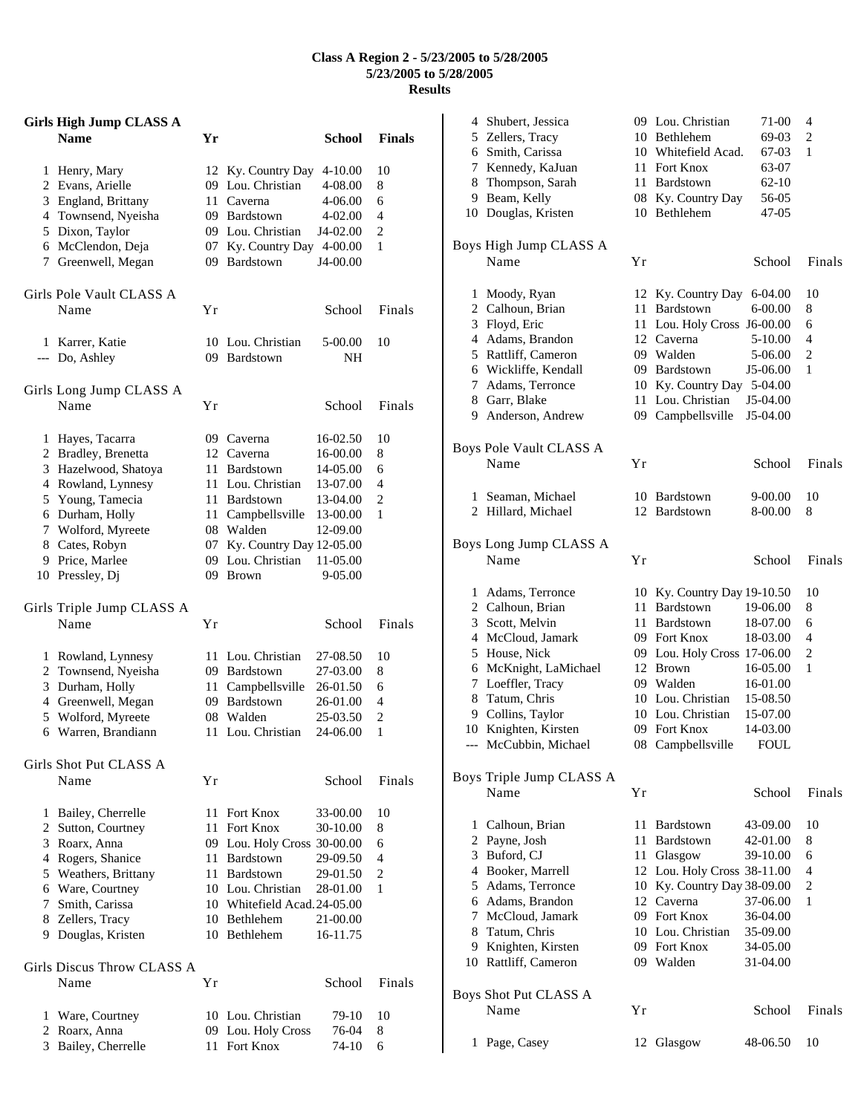## **Class A Region 2 - 5/23/2005 to 5/28/2005 5/23/2005 to 5/28/2005 Results**

|   | <b>Girls High Jump CLASS A</b><br><b>Name</b> | Yr        |                                | School               | <b>Finals</b> |
|---|-----------------------------------------------|-----------|--------------------------------|----------------------|---------------|
| 1 | Henry, Mary                                   |           | 12 Ky. Country Day             | 4-10.00              | 10            |
|   | 2 Evans, Arielle                              |           | 09 Lou. Christian              | 4-08.00              | 8             |
|   | 3 England, Brittany                           | 11        | Caverna                        | 4-06.00              | 6             |
|   | 4 Townsend, Nyeisha                           |           | 09 Bardstown                   | 4-02.00              | 4             |
|   | 5 Dixon, Taylor                               |           | 09 Lou. Christian              | J4-02.00             | 2             |
|   | 6 McClendon, Deja                             | 07        | Ky. Country Day                | 4-00.00              | 1             |
|   | 7 Greenwell, Megan                            | 09        | Bardstown                      | J4-00.00             |               |
|   | Girls Pole Vault CLASS A<br>Name              | Υr        |                                | School               | Finals        |
|   |                                               |           |                                |                      |               |
|   | 1 Karrer, Katie                               |           | 10 Lou. Christian              | 5-00.00              | 10            |
|   | --- Do, Ashley                                |           | 09 Bardstown                   | NΗ                   |               |
|   | Girls Long Jump CLASS A<br>Name               |           |                                |                      |               |
|   |                                               | Υr        |                                | School               | Finals        |
| 1 | Hayes, Tacarra                                |           | 09 Caverna                     | 16-02.50             | 10            |
|   | 2 Bradley, Brenetta                           |           | 12 Caverna                     | 16-00.00             | 8             |
|   | 3 Hazelwood, Shatoya                          | 11-       | Bardstown                      | 14-05.00             | 6             |
|   | 4 Rowland, Lynnesy                            | 11.       | Lou. Christian                 | 13-07.00             | 4             |
|   | 5 Young, Tamecia                              |           | 11 Bardstown                   | 13-04.00             | 2             |
|   | 6 Durham, Holly                               | 11 -      | Campbellsville                 | 13-00.00             | 1             |
|   | 7 Wolford, Myreete                            |           | 08 Walden                      | 12-09.00             |               |
|   | 8 Cates, Robyn                                | 07        | Ky. Country Day 12-05.00       |                      |               |
| 9 | Price, Marlee<br>10 Pressley, Dj              | 09.<br>09 | Lou. Christian<br><b>Brown</b> | 11-05.00<br>9-05.00  |               |
|   | Girls Triple Jump CLASS A                     |           |                                |                      |               |
|   | Name                                          | Υr        |                                | School               | Finals        |
| 1 | Rowland, Lynnesy                              |           | 11 Lou. Christian              | 27-08.50             | 10            |
|   | 2 Townsend, Nyeisha                           |           | 09 Bardstown                   | 27-03.00             | 8             |
|   | 3 Durham, Holly                               | 11        | Campbellsville                 | 26-01.50             | 6             |
|   | 4 Greenwell, Megan                            |           | 09 Bardstown                   | 26-01.00             | 4             |
| 5 | Wolford, Myreete                              |           | 08 Walden                      | 25-03.50             | 2             |
| 6 | Warren, Brandiann                             | 11        | Lou. Christian                 | 24-06.00             | 1             |
|   | Girls Shot Put CLASS A<br>Name                |           |                                |                      | Finals        |
|   |                                               | Υr        |                                | School               |               |
| 1 | Bailey, Cherrelle                             | 11        | Fort Knox                      | 33-00.00             | 10            |
|   | 2 Sutton, Courtney                            |           | 11 Fort Knox                   | 30-10.00             | 8             |
| 3 | Roarx, Anna                                   |           | 09 Lou. Holy Cross 30-00.00    |                      | 6             |
|   | 4 Rogers, Shanice                             |           | 11 Bardstown                   | 29-09.50             | 4             |
|   | 5 Weathers, Brittany                          |           | 11 Bardstown                   | 29-01.50             | 2             |
|   | 6 Ware, Courtney                              |           | 10 Lou. Christian              | 28-01.00             | 1             |
|   | 7 Smith, Carissa                              |           | 10 Whitefield Acad.24-05.00    |                      |               |
|   | 8 Zellers, Tracy<br>9 Douglas, Kristen        |           | 10 Bethlehem<br>10 Bethlehem   | 21-00.00<br>16-11.75 |               |
|   | Girls Discus Throw CLASS A<br>Name            | Υr        |                                | School               | Finals        |
|   |                                               |           |                                |                      |               |
| 1 | Ware, Courtney                                |           | 10 Lou. Christian              | 79-10                | 10            |
|   | 2 Roarx, Anna                                 |           | 09 Lou. Holy Cross             | 76-04                | 8             |
| 3 | Bailey, Cherrelle                             | 11        | Fort Knox                      | 74-10                | 6             |

|                        | 4 Shubert, Jessica       |    | 09 Lou. Christian           | 71-00       | 4      |  |
|------------------------|--------------------------|----|-----------------------------|-------------|--------|--|
|                        | 5 Zellers, Tracy         |    | 10 Bethlehem                | 69-03       | 2      |  |
|                        | 6 Smith, Carissa         |    | 10 Whitefield Acad.         | 67-03       | 1      |  |
|                        | 7 Kennedy, KaJuan        |    | 11 Fort Knox                | 63-07       |        |  |
|                        | 8 Thompson, Sarah        |    | 11 Bardstown                | 62-10       |        |  |
|                        | 9 Beam, Kelly            |    | 08 Ky. Country Day          | 56-05       |        |  |
|                        | 10 Douglas, Kristen      |    | 10 Bethlehem                | 47-05       |        |  |
|                        |                          |    |                             |             |        |  |
| Boys High Jump CLASS A |                          |    |                             |             |        |  |
|                        | Name                     | Υr |                             | School      | Finals |  |
|                        |                          |    |                             |             |        |  |
|                        | 1 Moody, Ryan            |    | 12 Ky. Country Day 6-04.00  |             | 10     |  |
|                        | 2 Calhoun, Brian         | 11 | Bardstown                   | 6-00.00     | 8      |  |
|                        | 3 Floyd, Eric            |    | 11 Lou. Holy Cross J6-00.00 |             | 6      |  |
|                        | 4 Adams, Brandon         |    | 12 Caverna                  | 5-10.00     | 4      |  |
|                        | 5 Rattliff, Cameron      |    | 09 Walden                   | 5-06.00     | 2      |  |
|                        | 6 Wickliffe, Kendall     |    | 09 Bardstown                | J5-06.00    | 1      |  |
|                        | 7 Adams, Terronce        |    | 10 Ky. Country Day          | 5-04.00     |        |  |
|                        | 8 Garr, Blake            |    | 11 Lou. Christian           | J5-04.00    |        |  |
|                        | 9 Anderson, Andrew       |    | 09 Campbellsville           | J5-04.00    |        |  |
|                        |                          |    |                             |             |        |  |
|                        | Boys Pole Vault CLASS A  |    |                             |             |        |  |
|                        | Name                     | Υr |                             | School      | Finals |  |
|                        | 1 Seaman, Michael        |    | 10 Bardstown                | 9-00.00     | 10     |  |
|                        | 2 Hillard, Michael       |    | 12 Bardstown                | 8-00.00     | 8      |  |
|                        |                          |    |                             |             |        |  |
|                        | Boys Long Jump CLASS A   |    |                             |             |        |  |
|                        | Name                     | Υr |                             | School      | Finals |  |
|                        |                          |    |                             |             |        |  |
|                        | 1 Adams, Terronce        |    | 10 Ky. Country Day 19-10.50 |             | 10     |  |
|                        | 2 Calhoun, Brian         |    | 11 Bardstown                | 19-06.00    | 8      |  |
|                        | 3 Scott, Melvin          |    | 11 Bardstown                | 18-07.00    | 6      |  |
|                        | 4 McCloud, Jamark        |    | 09 Fort Knox                | 18-03.00    | 4      |  |
|                        | 5 House, Nick            |    | 09 Lou. Holy Cross 17-06.00 |             | 2      |  |
|                        | 6 McKnight, LaMichael    |    | 12 Brown                    | 16-05.00    | 1      |  |
| 7                      | Loeffler, Tracy          |    | 09 Walden                   | 16-01.00    |        |  |
| 8                      | Tatum, Chris             |    | 10 Lou. Christian           | 15-08.50    |        |  |
|                        | 9 Collins, Taylor        |    | 10 Lou. Christian           | 15-07.00    |        |  |
|                        | 10 Knighten, Kirsten     |    | 09 Fort Knox                | 14-03.00    |        |  |
|                        | McCubbin, Michael        |    | 08 Campbellsville           | <b>FOUL</b> |        |  |
|                        |                          |    |                             |             |        |  |
|                        | Boys Triple Jump CLASS A |    |                             |             |        |  |
|                        | Name                     | Υr |                             | School      | Finals |  |
|                        |                          |    |                             |             |        |  |
| 1                      | Calhoun, Brian           | 11 | <b>Bardstown</b>            | 43-09.00    | 10     |  |
|                        | 2 Payne, Josh            | 11 | Bardstown                   | 42-01.00    | 8      |  |
|                        | 3 Buford, CJ             |    | 11 Glasgow                  | 39-10.00    | 6      |  |
|                        | 4 Booker, Marrell        |    | 12 Lou. Holy Cross 38-11.00 |             | 4      |  |
|                        | 5 Adams, Terronce        |    | 10 Ky. Country Day 38-09.00 |             | 2      |  |
|                        | 6 Adams, Brandon         |    | 12 Caverna                  | 37-06.00    | 1      |  |
|                        | 7 McCloud, Jamark        |    | 09 Fort Knox                | 36-04.00    |        |  |
|                        | 8 Tatum, Chris           |    | 10 Lou. Christian           | 35-09.00    |        |  |
|                        | 9 Knighten, Kirsten      |    | 09 Fort Knox                | 34-05.00    |        |  |
|                        | 10 Rattliff, Cameron     |    | 09 Walden                   | 31-04.00    |        |  |
|                        |                          |    |                             |             |        |  |
|                        |                          |    |                             |             |        |  |
|                        | Boys Shot Put CLASS A    |    |                             |             |        |  |
|                        | Name                     | Yr |                             | School      | Finals |  |